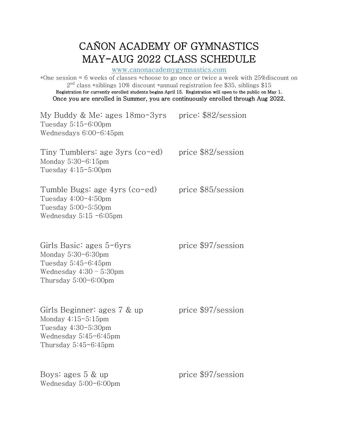## CAÑON ACADEMY OF GYMNASTICS MAY-AUG 2022 CLASS SCHEDULE www.canonacademygymnastics.com

\*One session = 6 weeks of classes \*choose to go once or twice a week with 25%discount on  $2<sup>nd</sup>$  class \*siblings 10% discount \*annual registration fee \$35, siblings \$15 Registration for currently enrolled students begins April 15. Registration will open to the public on May 1. Once you are enrolled in Summer, you are continuously enrolled through Aug 2022.

My Buddy & Me: ages  $18 \text{mo}-3\text{yrs}$  price: \$82/session Tuesday 5:15-6:00pm Wednesdays 6:00-6:45pm

Tiny Tumblers: age  $3yrs$  (co-ed) price  $$82/s$ ession Monday 5:30-6:15pm Tuesday 4:15-5:00pm

Tumble Bugs: age  $4yrs$  (co-ed) price  $$85/s$ ession Tuesday 4:00-4:50pm Tuesday 5:00-5:50pm Wednesday 5:15 -6:05pm

Girls Basic: ages  $5-6yrs$  price  $$97/s$ ession Monday 5:30-6:30pm Tuesday 5:45-6:45pm Wednesday 4:30 – 5:30pm Thursday 5:00-6:00pm

Girls Beginner: ages  $7 \&$  up price  $$97$ /session Monday 4:15-5:15pm Tuesday 4:30-5:30pm Wednesday 5:45-6:45pm Thursday 5:45-6:45pm

Boys: ages  $5 \& \text{up}$  price  $$97$ /session Wednesday 5:00-6:00pm